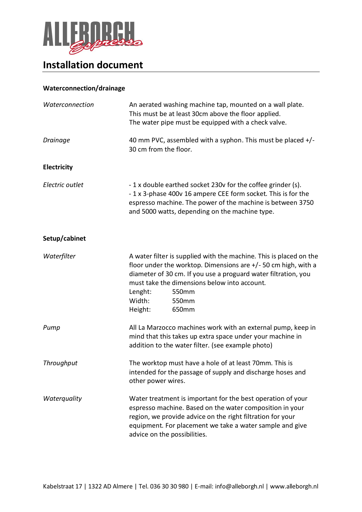

## **Installation document**

## **Waterconnection/drainage**

| Waterconnection    | An aerated washing machine tap, mounted on a wall plate.<br>This must be at least 30cm above the floor applied.<br>The water pipe must be equipped with a check valve.                                                                                                                                             |
|--------------------|--------------------------------------------------------------------------------------------------------------------------------------------------------------------------------------------------------------------------------------------------------------------------------------------------------------------|
| <b>Drainage</b>    | 40 mm PVC, assembled with a syphon. This must be placed $+/-$<br>30 cm from the floor.                                                                                                                                                                                                                             |
| <b>Electricity</b> |                                                                                                                                                                                                                                                                                                                    |
| Electric outlet    | -1 x double earthed socket 230v for the coffee grinder (s).<br>- 1 x 3-phase 400v 16 ampere CEE form socket. This is for the<br>espresso machine. The power of the machine is between 3750<br>and 5000 watts, depending on the machine type.                                                                       |
| Setup/cabinet      |                                                                                                                                                                                                                                                                                                                    |
| Waterfilter        | A water filter is supplied with the machine. This is placed on the<br>floor under the worktop. Dimensions are $+/-50$ cm high, with a<br>diameter of 30 cm. If you use a proguard water filtration, you<br>must take the dimensions below into account.<br>Lenght:<br>550mm<br>Width:<br>550mm<br>Height:<br>650mm |
| Pump               | All La Marzocco machines work with an external pump, keep in<br>mind that this takes up extra space under your machine in<br>addition to the water filter. (see example photo)                                                                                                                                     |
| Throughput         | The worktop must have a hole of at least 70mm. This is<br>intended for the passage of supply and discharge hoses and<br>other power wires.                                                                                                                                                                         |
| Waterquality       | Water treatment is important for the best operation of your<br>espresso machine. Based on the water composition in your<br>region, we provide advice on the right filtration for your<br>equipment. For placement we take a water sample and give<br>advice on the possibilities.                                  |